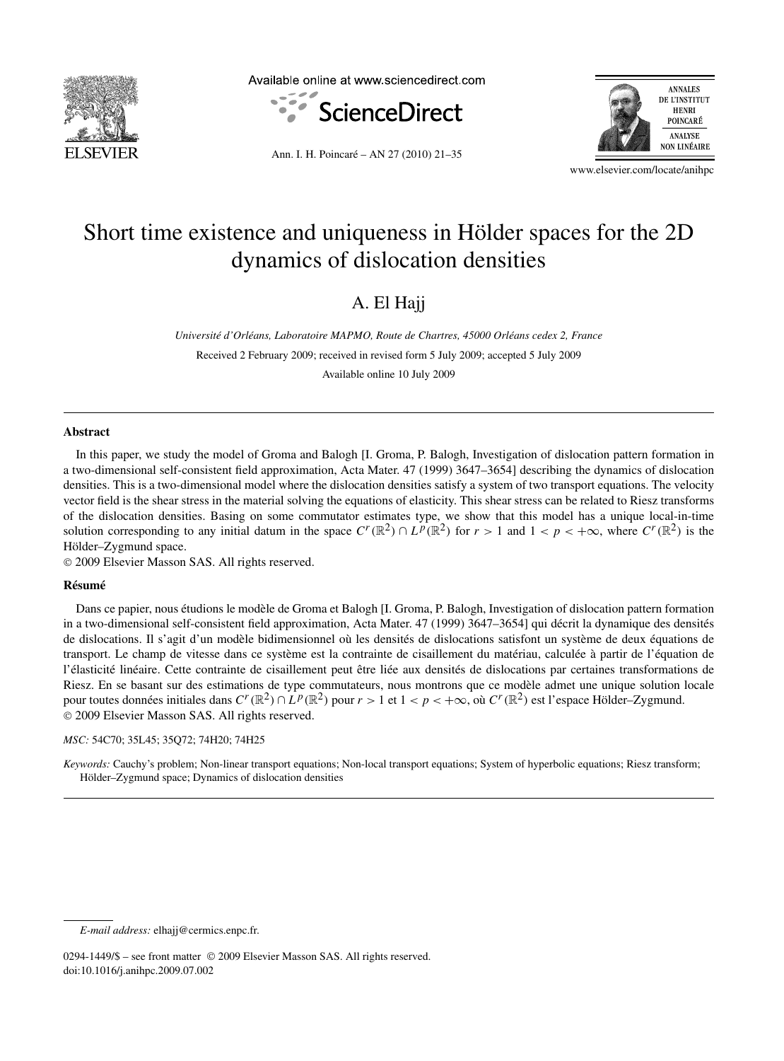

Available online at www.sciencedirect.com





Ann. I. H. Poincaré – AN 27 (2010) 21–35

www.elsevier.com/locate/anihpc

# Short time existence and uniqueness in Hölder spaces for the 2D dynamics of dislocation densities

# A. El Hajj

*Université d'Orléans, Laboratoire MAPMO, Route de Chartres, 45000 Orléans cedex 2, France*

Received 2 February 2009; received in revised form 5 July 2009; accepted 5 July 2009

Available online 10 July 2009

### **Abstract**

In this paper, we study the model of Groma and Balogh [I. Groma, P. Balogh, Investigation of dislocation pattern formation in a two-dimensional self-consistent field approximation, Acta Mater. 47 (1999) 3647–3654] describing the dynamics of dislocation densities. This is a two-dimensional model where the dislocation densities satisfy a system of two transport equations. The velocity vector field is the shear stress in the material solving the equations of elasticity. This shear stress can be related to Riesz transforms of the dislocation densities. Basing on some commutator estimates type, we show that this model has a unique local-in-time solution corresponding to any initial datum in the space  $C^r(\mathbb{R}^2) \cap L^p(\mathbb{R}^2)$  for  $r > 1$  and  $1 < p < +\infty$ , where  $C^r(\mathbb{R}^2)$  is the Hölder–Zygmund space.

© 2009 Elsevier Masson SAS. All rights reserved.

# **Résumé**

Dans ce papier, nous étudions le modèle de Groma et Balogh [I. Groma, P. Balogh, Investigation of dislocation pattern formation in a two-dimensional self-consistent field approximation, Acta Mater. 47 (1999) 3647–3654] qui décrit la dynamique des densités de dislocations. Il s'agit d'un modèle bidimensionnel où les densités de dislocations satisfont un système de deux équations de transport. Le champ de vitesse dans ce système est la contrainte de cisaillement du matériau, calculée à partir de l'équation de l'élasticité linéaire. Cette contrainte de cisaillement peut être liée aux densités de dislocations par certaines transformations de Riesz. En se basant sur des estimations de type commutateurs, nous montrons que ce modèle admet une unique solution locale pour toutes données initiales dans  $C^r(\mathbb{R}^2) \cap L^p(\mathbb{R}^2)$  pour  $r > 1$  et  $1 < p < +\infty$ , où  $C^r(\mathbb{R}^2)$  est l'espace Hölder–Zygmund. © 2009 Elsevier Masson SAS. All rights reserved.

# *MSC:* 54C70; 35L45; 35Q72; 74H20; 74H25

*Keywords:* Cauchy's problem; Non-linear transport equations; Non-local transport equations; System of hyperbolic equations; Riesz transform; Hölder–Zygmund space; Dynamics of dislocation densities

*E-mail address:* elhajj@cermics.enpc.fr.

<sup>0294-1449/\$ –</sup> see front matter © 2009 Elsevier Masson SAS. All rights reserved. doi:10.1016/j.anihpc.2009.07.002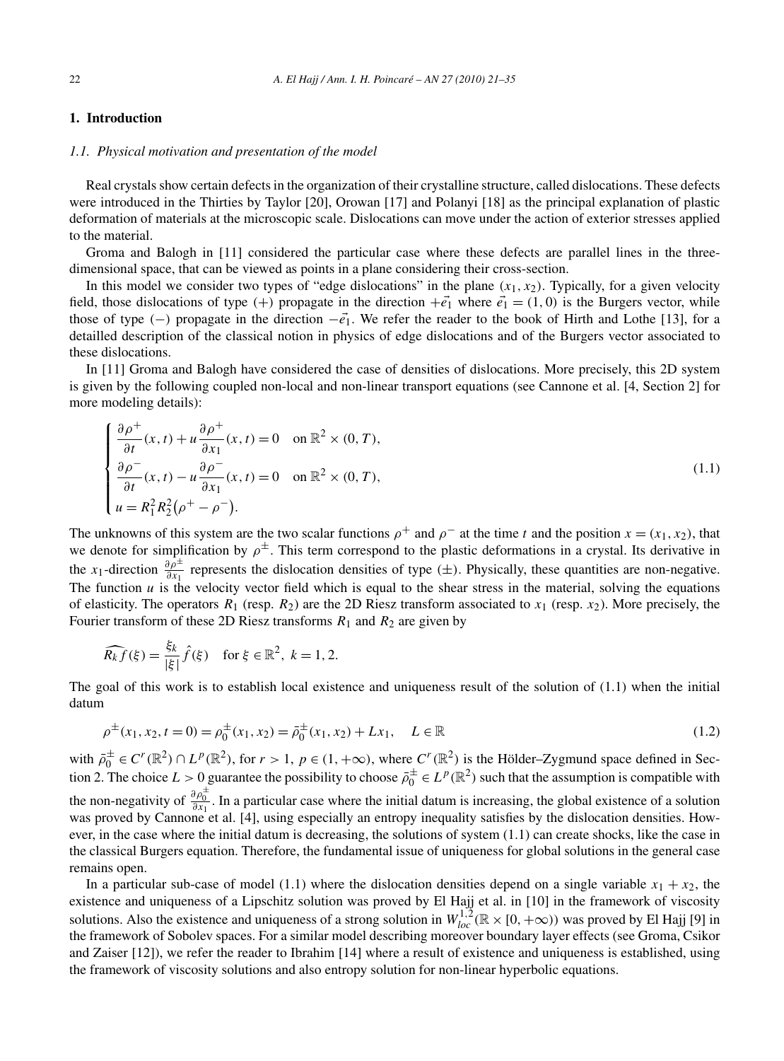# **1. Introduction**

#### *1.1. Physical motivation and presentation of the model*

Real crystals show certain defects in the organization of their crystalline structure, called dislocations. These defects were introduced in the Thirties by Taylor [20], Orowan [17] and Polanyi [18] as the principal explanation of plastic deformation of materials at the microscopic scale. Dislocations can move under the action of exterior stresses applied to the material.

Groma and Balogh in [11] considered the particular case where these defects are parallel lines in the threedimensional space, that can be viewed as points in a plane considering their cross-section.

In this model we consider two types of "edge dislocations" in the plane  $(x_1, x_2)$ . Typically, for a given velocity field, those dislocations of type (+) propagate in the direction  $\neq \vec{e_1}$  where  $\vec{e_1} = (1,0)$  is the Burgers vector, while those of type  $(-)$  propagate in the direction  $-\vec{e_1}$ . We refer the reader to the book of Hirth and Lothe [13], for a detailled description of the classical notion in physics of edge dislocations and of the Burgers vector associated to these dislocations.

In [11] Groma and Balogh have considered the case of densities of dislocations. More precisely, this 2D system is given by the following coupled non-local and non-linear transport equations (see Cannone et al. [4, Section 2] for more modeling details):

$$
\begin{cases}\n\frac{\partial \rho^+}{\partial t}(x,t) + u \frac{\partial \rho^+}{\partial x_1}(x,t) = 0 & \text{on } \mathbb{R}^2 \times (0,T), \\
\frac{\partial \rho^-}{\partial t}(x,t) - u \frac{\partial \rho^-}{\partial x_1}(x,t) = 0 & \text{on } \mathbb{R}^2 \times (0,T), \\
u = R_1^2 R_2^2 (\rho^+ - \rho^-).\n\end{cases}
$$
\n(1.1)

The unknowns of this system are the two scalar functions  $\rho^+$  and  $\rho^-$  at the time *t* and the position  $x = (x_1, x_2)$ , that we denote for simplification by  $\rho^{\pm}$ . This term correspond to the plastic deformations in a crystal. Its derivative in the *x*<sub>1</sub>-direction  $\frac{\partial \rho^{\pm}}{\partial x_1}$  represents the dislocation densities of type ( $\pm$ ). Physically, these quantities are non-negative. The function  $u$  is the velocity vector field which is equal to the shear stress in the material, solving the equations of elasticity. The operators  $R_1$  (resp.  $R_2$ ) are the 2D Riesz transform associated to  $x_1$  (resp.  $x_2$ ). More precisely, the Fourier transform of these 2D Riesz transforms  $R_1$  and  $R_2$  are given by

$$
\widehat{R_k f}(\xi) = \frac{\xi_k}{|\xi|} \widehat{f}(\xi) \quad \text{for } \xi \in \mathbb{R}^2, \ k = 1, 2.
$$

The goal of this work is to establish local existence and uniqueness result of the solution of (1.1) when the initial datum

$$
\rho^{\pm}(x_1, x_2, t = 0) = \rho_0^{\pm}(x_1, x_2) = \bar{\rho}_0^{\pm}(x_1, x_2) + Lx_1, \quad L \in \mathbb{R}
$$
\n(1.2)

with  $\bar{\rho}_0^{\pm} \in C^r(\mathbb{R}^2) \cap L^p(\mathbb{R}^2)$ , for  $r > 1$ ,  $p \in (1, +\infty)$ , where  $C^r(\mathbb{R}^2)$  is the Hölder–Zygmund space defined in Section 2. The choice  $L > 0$  guarantee the possibility to choose  $\bar{\rho}_0^{\pm} \in L^p(\mathbb{R}^2)$  such that the assumption is compatible with the non-negativity of  $\frac{\partial \rho_0^{\pm}}{\partial x_1}$ . In a particular case where the initial datum is increasing, the global existence of a solution was proved by Cannone et al. [4], using especially an entropy inequality satisfies by the dislocation densities. However, in the case where the initial datum is decreasing, the solutions of system (1.1) can create shocks, like the case in the classical Burgers equation. Therefore, the fundamental issue of uniqueness for global solutions in the general case remains open.

In a particular sub-case of model (1.1) where the dislocation densities depend on a single variable  $x_1 + x_2$ , the existence and uniqueness of a Lipschitz solution was proved by El Hajj et al. in [10] in the framework of viscosity solutions. Also the existence and uniqueness of a strong solution in  $W_{loc}^{1,2}(\mathbb{R} \times [0, +\infty))$  was proved by El Hajj [9] in the framework of Sobolev spaces. For a similar model describing moreover boundary layer effects (see Groma, Csikor and Zaiser [12]), we refer the reader to Ibrahim [14] where a result of existence and uniqueness is established, using the framework of viscosity solutions and also entropy solution for non-linear hyperbolic equations.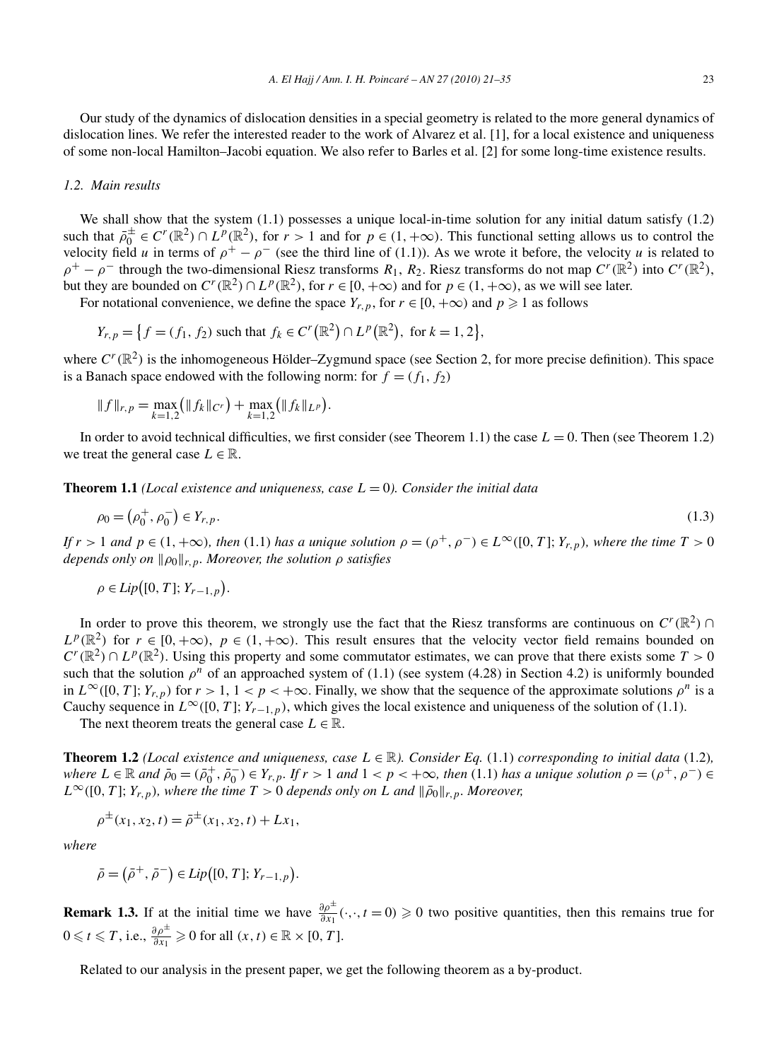Our study of the dynamics of dislocation densities in a special geometry is related to the more general dynamics of dislocation lines. We refer the interested reader to the work of Alvarez et al. [1], for a local existence and uniqueness of some non-local Hamilton–Jacobi equation. We also refer to Barles et al. [2] for some long-time existence results.

# *1.2. Main results*

We shall show that the system  $(1.1)$  possesses a unique local-in-time solution for any initial datum satisfy  $(1.2)$ such that  $\bar{\rho}_0^{\pm} \in C^r(\mathbb{R}^2) \cap L^p(\mathbb{R}^2)$ , for  $r > 1$  and for  $p \in (1, +\infty)$ . This functional setting allows us to control the velocity field *u* in terms of  $\rho^+ - \rho^-$  (see the third line of (1.1)). As we wrote it before, the velocity *u* is related to  $\rho^+ - \rho^-$  through the two-dimensional Riesz transforms  $R_1, R_2$ . Riesz transforms do not map  $C^r(\mathbb{R}^2)$  into  $C^r(\mathbb{R}^2)$ , but they are bounded on  $C^r(\mathbb{R}^2) \cap L^p(\mathbb{R}^2)$ , for  $r \in [0, +\infty)$  and for  $p \in (1, +\infty)$ , as we will see later.

For notational convenience, we define the space  $Y_{r,p}$ , for  $r \in [0, +\infty)$  and  $p \ge 1$  as follows

$$
Y_{r,p} = \left\{ f = (f_1, f_2) \text{ such that } f_k \in C^r(\mathbb{R}^2) \cap L^p(\mathbb{R}^2), \text{ for } k = 1, 2 \right\},\
$$

where  $C<sup>r</sup>(\mathbb{R}^2)$  is the inhomogeneous Hölder–Zygmund space (see Section 2, for more precise definition). This space is a Banach space endowed with the following norm: for  $f = (f_1, f_2)$ 

$$
|| f ||_{r,p} = \max_{k=1,2} (|| f_k ||_{C^r}) + \max_{k=1,2} (|| f_k ||_{L^p}).
$$

In order to avoid technical difficulties, we first consider (see Theorem 1.1) the case  $L = 0$ . Then (see Theorem 1.2) we treat the general case  $L \in \mathbb{R}$ .

**Theorem 1.1** *(Local existence and uniqueness, case L* = 0*). Consider the initial data*

$$
\rho_0 = (\rho_0^+, \rho_0^-) \in Y_{r,p}.
$$
\n(1.3)

If  $r > 1$  and  $p \in (1, +\infty)$ , then (1.1) has a unique solution  $\rho = (\rho^+, \rho^-) \in L^{\infty}([0, T]; Y_{r, p})$ , where the time  $T > 0$ *depends only on*  $\|\rho_0\|_{r,p}$ *. Moreover, the solution*  $\rho$  *satisfies* 

$$
\rho \in Lip\big([0, T]; Y_{r-1, p}\big).
$$

In order to prove this theorem, we strongly use the fact that the Riesz transforms are continuous on  $C<sup>r</sup>(\mathbb{R}^2)$  $L^p(\mathbb{R}^2)$  for  $r \in [0, +\infty)$ ,  $p \in (1, +\infty)$ . This result ensures that the velocity vector field remains bounded on  $C^r(\mathbb{R}^2) \cap L^p(\mathbb{R}^2)$ . Using this property and some commutator estimates, we can prove that there exists some  $T > 0$ such that the solution  $\rho^n$  of an approached system of (1.1) (see system (4.28) in Section 4.2) is uniformly bounded in  $L^{\infty}([0, T]; Y_{r,p})$  for  $r > 1, 1 < p < +\infty$ . Finally, we show that the sequence of the approximate solutions  $\rho^n$  is a Cauchy sequence in  $L^{\infty}([0, T]; Y_{r-1, p})$ , which gives the local existence and uniqueness of the solution of (1.1).

The next theorem treats the general case  $L \in \mathbb{R}$ .

**Theorem 1.2** *(Local existence and uniqueness, case*  $L \in \mathbb{R}$ *). Consider Eq.* (1.1) *corresponding to initial data* (1.2)*,* where  $L \in \mathbb{R}$  and  $\bar{\rho}_0 = (\bar{\rho}_0^+, \bar{\rho}_0^-) \in Y_{r,p}$ . If  $r > 1$  and  $1 < p < +\infty$ , then (1.1) has a unique solution  $\rho = (\rho^+, \rho^-) \in$  $L^{\infty}([0, T]; Y_{r,p})$ *, where the time*  $T > 0$  *depends only on L and*  $\|\bar{\rho}_0\|_{r,p}$ *. Moreover,* 

$$
\rho^{\pm}(x_1, x_2, t) = \bar{\rho}^{\pm}(x_1, x_2, t) + Lx_1,
$$

*where*

$$
\bar{\rho} = (\bar{\rho}^+, \bar{\rho}^-) \in Lip([0, T]; Y_{r-1, p}).
$$

**Remark 1.3.** If at the initial time we have  $\frac{\partial \rho^{\pm}}{\partial x_1}(\cdot,\cdot,t=0) \ge 0$  two positive quantities, then this remains true for  $0 \leq t \leq T$ , i.e.,  $\frac{\partial \rho^{\pm}}{\partial x_1} \geq 0$  for all  $(x, t) \in \mathbb{R} \times [0, T]$ .

Related to our analysis in the present paper, we get the following theorem as a by-product.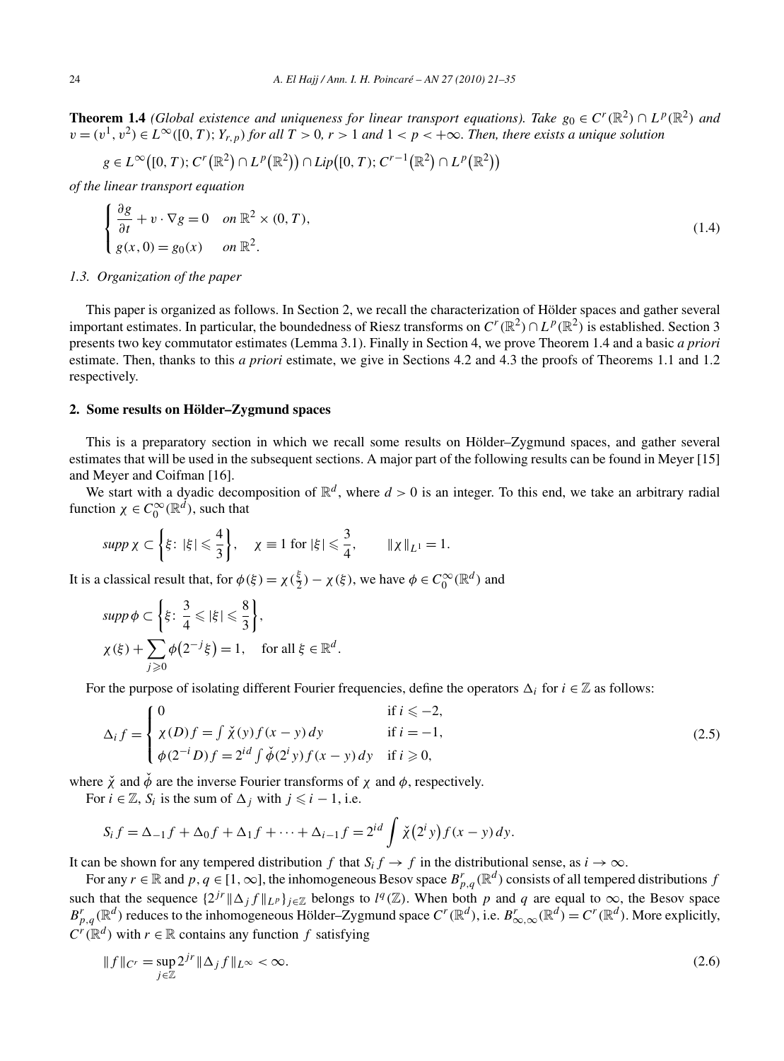**Theorem 1.4** *(Global existence and uniqueness for linear transport equations). Take*  $g_0 \in C^r(\mathbb{R}^2) \cap L^p(\mathbb{R}^2)$  *and v* =  $(v<sup>1</sup>, v<sup>2</sup>)$  ∈  $L<sup>∞</sup>(0, T)$ ; *Y<sub>r,p</sub>*) *for all T* > 0*, r* > 1 *and* 1 < *p* < +∞*. Then, there exists a unique solution* 

$$
g \in L^{\infty}\big([0,T); C^{r}(\mathbb{R}^{2})\cap L^{p}(\mathbb{R}^{2})\big) \cap Lip\big([0,T); C^{r-1}(\mathbb{R}^{2})\cap L^{p}(\mathbb{R}^{2})\big)
$$

*of the linear transport equation*

$$
\begin{cases} \frac{\partial g}{\partial t} + v \cdot \nabla g = 0 & \text{on } \mathbb{R}^2 \times (0, T), \\ g(x, 0) = g_0(x) & \text{on } \mathbb{R}^2. \end{cases}
$$
 (1.4)

#### *1.3. Organization of the paper*

This paper is organized as follows. In Section 2, we recall the characterization of Hölder spaces and gather several important estimates. In particular, the boundedness of Riesz transforms on  $C^r(\mathbb{R}^2) \cap L^p(\mathbb{R}^2)$  is established. Section 3 presents two key commutator estimates (Lemma 3.1). Finally in Section 4, we prove Theorem 1.4 and a basic *a priori* estimate. Then, thanks to this *a priori* estimate, we give in Sections 4.2 and 4.3 the proofs of Theorems 1.1 and 1.2 respectively.

# **2. Some results on Hölder–Zygmund spaces**

This is a preparatory section in which we recall some results on Hölder–Zygmund spaces, and gather several estimates that will be used in the subsequent sections. A major part of the following results can be found in Meyer [15] and Meyer and Coifman [16].

We start with a dyadic decomposition of  $\mathbb{R}^d$ , where  $d > 0$  is an integer. To this end, we take an arbitrary radial function  $\chi \in C_0^{\infty}(\mathbb{R}^d)$ , such that

$$
supp \chi \subset \left\{ \xi \colon |\xi| \leqslant \frac{4}{3} \right\}, \quad \chi \equiv 1 \text{ for } |\xi| \leqslant \frac{3}{4}, \qquad \|\chi\|_{L^1} = 1.
$$

It is a classical result that, for  $\phi(\xi) = \chi(\frac{\xi}{2}) - \chi(\xi)$ , we have  $\phi \in C_0^{\infty}(\mathbb{R}^d)$  and

$$
supp \phi \subset \left\{ \xi \colon \frac{3}{4} \leqslant |\xi| \leqslant \frac{8}{3} \right\},\
$$
  

$$
\chi(\xi) + \sum_{j \geqslant 0} \phi(2^{-j}\xi) = 1, \quad \text{for all } \xi \in \mathbb{R}^d.
$$

For the purpose of isolating different Fourier frequencies, define the operators  $\Delta_i$  for  $i \in \mathbb{Z}$  as follows:

$$
\Delta_i f = \begin{cases}\n0 & \text{if } i \leq -2, \\
\chi(D)f = \int \check{\chi}(y)f(x-y)dy & \text{if } i = -1, \\
\phi(2^{-i}D)f = 2^{id} \int \check{\phi}(2^i y)f(x-y)dy & \text{if } i \geq 0,\n\end{cases}
$$
\n(2.5)

where  $\chi$ <sup>\*</sup> and  $\phi$ <sup>\*</sup> are the inverse Fourier transforms of  $\chi$  and  $\phi$ , respectively.

For  $i \in \mathbb{Z}$ ,  $S_i$  is the sum of  $\Delta_i$  with  $j \leq i - 1$ , i.e.

$$
S_i f = \Delta_{-1} f + \Delta_0 f + \Delta_1 f + \cdots + \Delta_{i-1} f = 2^{id} \int \check{\chi}(2^i y) f(x - y) dy.
$$

It can be shown for any tempered distribution *f* that  $S_i f \to f$  in the distributional sense, as  $i \to \infty$ .

For any  $r \in \mathbb{R}$  and  $p, q \in [1, \infty]$ , the inhomogeneous Besov space  $B_{p,q}^r(\mathbb{R}^d)$  consists of all tempered distributions  $f$ such that the sequence  $\{2^{jr} \|\Delta_j f\|_{L^p}\}_{j\in \mathbb{Z}}$  belongs to  $l^q(\mathbb{Z})$ . When both p and q are equal to  $\infty$ , the Besov space  $B_{p,q}^r(\mathbb{R}^d)$  reduces to the inhomogeneous Hölder–Zygmund space  $C^r(\mathbb{R}^d)$ , i.e.  $B_{\infty,\infty}^r(\mathbb{R}^d) = C^r(\mathbb{R}^d)$ . More explicitly,  $C^{r}(\mathbb{R}^{d})$  with  $r \in \mathbb{R}$  contains any function *f* satisfying

$$
||f||_{C'} = \sup_{j \in \mathbb{Z}} 2^{jr} ||\Delta_j f||_{L^{\infty}} < \infty.
$$
\n(2.6)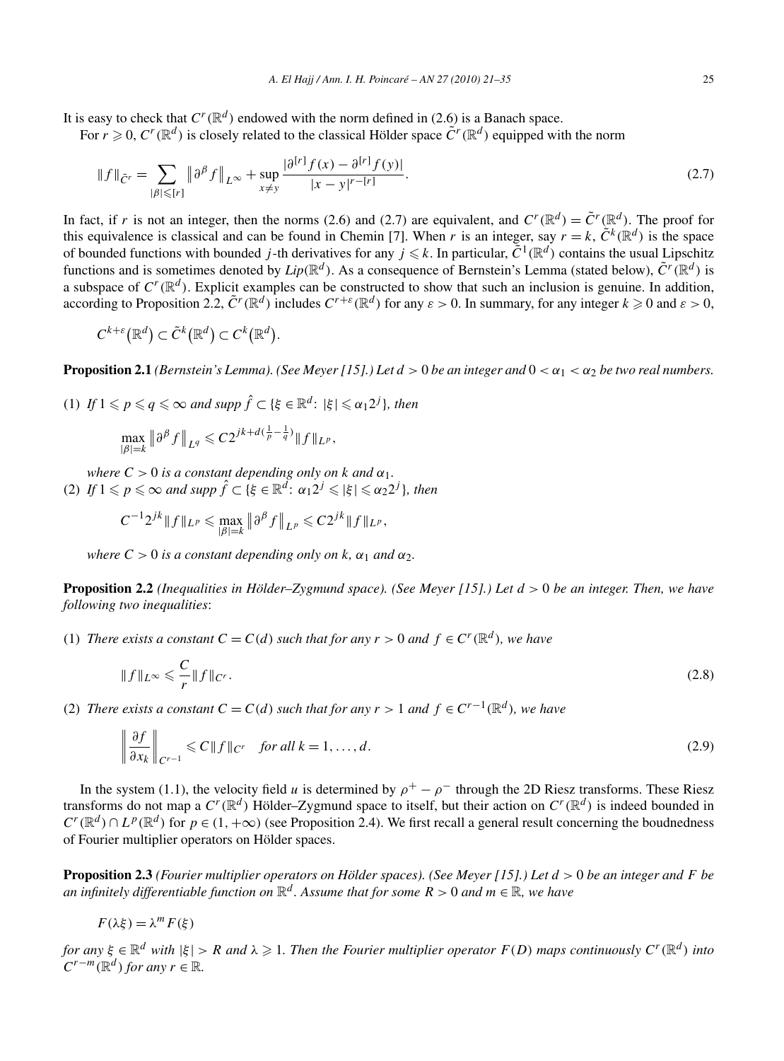It is easy to check that  $C^r(\mathbb{R}^d)$  endowed with the norm defined in (2.6) is a Banach space.

For  $r \geq 0$ ,  $C^r(\mathbb{R}^d)$  is closely related to the classical Hölder space  $\tilde{C}^r(\mathbb{R}^d)$  equipped with the norm

$$
\|f\|_{\tilde{C}'} = \sum_{|\beta| \leq [r]} \|\partial^{\beta} f\|_{L^{\infty}} + \sup_{x \neq y} \frac{|\partial^{[r]} f(x) - \partial^{[r]} f(y)|}{|x - y|^{r - [r]}}.
$$
\n(2.7)

In fact, if *r* is not an integer, then the norms (2.6) and (2.7) are equivalent, and  $C^r(\mathbb{R}^d) = \tilde{C}^r(\mathbb{R}^d)$ . The proof for this equivalence is classical and can be found in Chemin [7]. When *r* is an integer, say  $r = k$ ,  $\tilde{C}^k(\mathbb{R}^d)$  is the space of bounded functions with bounded *j*-th derivatives for any  $j \leq k$ . In particular,  $\tilde{C}^1(\mathbb{R}^d)$  contains the usual Lipschitz functions and is sometimes denoted by  $Lip(\mathbb{R}^d)$ . As a consequence of Bernstein's Lemma (stated below),  $\tilde{C}^r(\mathbb{R}^d)$  is a subspace of  $C^r(\mathbb{R}^d)$ . Explicit examples can be constructed to show that such an inclusion is genuine. In addition, according to Proposition 2.2,  $\tilde{C}^r(\mathbb{R}^d)$  includes  $C^{r+\varepsilon}(\mathbb{R}^d)$  for any  $\varepsilon > 0$ . In summary, for any integer  $k \geq 0$  and  $\varepsilon > 0$ ,

$$
C^{k+\varepsilon}(\mathbb{R}^d) \subset \tilde{C}^k(\mathbb{R}^d) \subset C^k(\mathbb{R}^d).
$$

**Proposition 2.1** *(Bernstein's Lemma). (See Meyer [15].) Let*  $d > 0$  *be an integer and*  $0 < \alpha_1 < \alpha_2$  *be two real numbers.* 

(1) *If*  $1 \leq p \leq q \leq \infty$  *and supp*  $\hat{f} \subset \{\xi \in \mathbb{R}^d : |\xi| \leq \alpha_1 2^j\}$ *, then* 

$$
\max_{|\beta|=k} \|\partial^{\beta} f\|_{L^{q}} \leqslant C2^{jk+d(\frac{1}{p}-\frac{1}{q})} \|f\|_{L^{p}},
$$

*where*  $C > 0$  *is a constant depending only on k and*  $\alpha_1$ *.* (2) *If*  $1 \leq p \leq \infty$  *and supp*  $\hat{f} \subset \{\xi \in \mathbb{R}^d : \alpha_1 2^j \leq |\xi| \leq \alpha_2 2^j\}$ *, then* 

$$
C^{-1} 2^{jk} \| f \|_{L^p} \leqslant \max_{|\beta|=k} \left\| \partial^{\beta} f \right\|_{L^p} \leqslant C 2^{jk} \| f \|_{L^p},
$$

*where*  $C > 0$  *is a constant depending only on k,*  $\alpha_1$  *and*  $\alpha_2$ *.* 

**Proposition 2.2** *(Inequalities in Hölder–Zygmund space). (See Meyer [15].) Let d >* 0 *be an integer. Then, we have following two inequalities*:

(1) *There exists a constant*  $C = C(d)$  *such that for any*  $r > 0$  *and*  $f \in C^r(\mathbb{R}^d)$ *, we have* 

$$
\|f\|_{L^{\infty}} \leqslant \frac{C}{r} \|f\|_{C^r}.
$$
\n
$$
(2.8)
$$

(2) *There exists a constant*  $C = C(d)$  *such that for any*  $r > 1$  *and*  $f \in C^{r-1}(\mathbb{R}^d)$ *, we have* 

$$
\left\| \frac{\partial f}{\partial x_k} \right\|_{C^{r-1}} \leqslant C \| f \|_{C^r} \quad \text{for all } k = 1, \dots, d. \tag{2.9}
$$

In the system (1.1), the velocity field *u* is determined by  $\rho^+ - \rho^-$  through the 2D Riesz transforms. These Riesz transforms do not map a  $C^r(\mathbb{R}^d)$  Hölder–Zygmund space to itself, but their action on  $C^r(\mathbb{R}^d)$  is indeed bounded in  $C^r(\mathbb{R}^d) \cap L^p(\mathbb{R}^d)$  for  $p \in (1, +\infty)$  (see Proposition 2.4). We first recall a general result concerning the boudnedness of Fourier multiplier operators on Hölder spaces.

**Proposition 2.3** *(Fourier multiplier operators on Hölder spaces). (See Meyer [15].) Let d >* 0 *be an integer and F be an infinitely differentiable function on*  $\mathbb{R}^d$ . Assume that for some  $R > 0$  and  $m \in \mathbb{R}$ , we have

$$
F(\lambda \xi) = \lambda^m F(\xi)
$$

for any  $\xi \in \mathbb{R}^d$  with  $|\xi| > R$  and  $\lambda \geqslant 1$ . Then the Fourier multiplier operator  $F(D)$  maps continuously  $C^r(\mathbb{R}^d)$  into  $C^{r-m}(\mathbb{R}^d)$  *for any*  $r \in \mathbb{R}$ *.*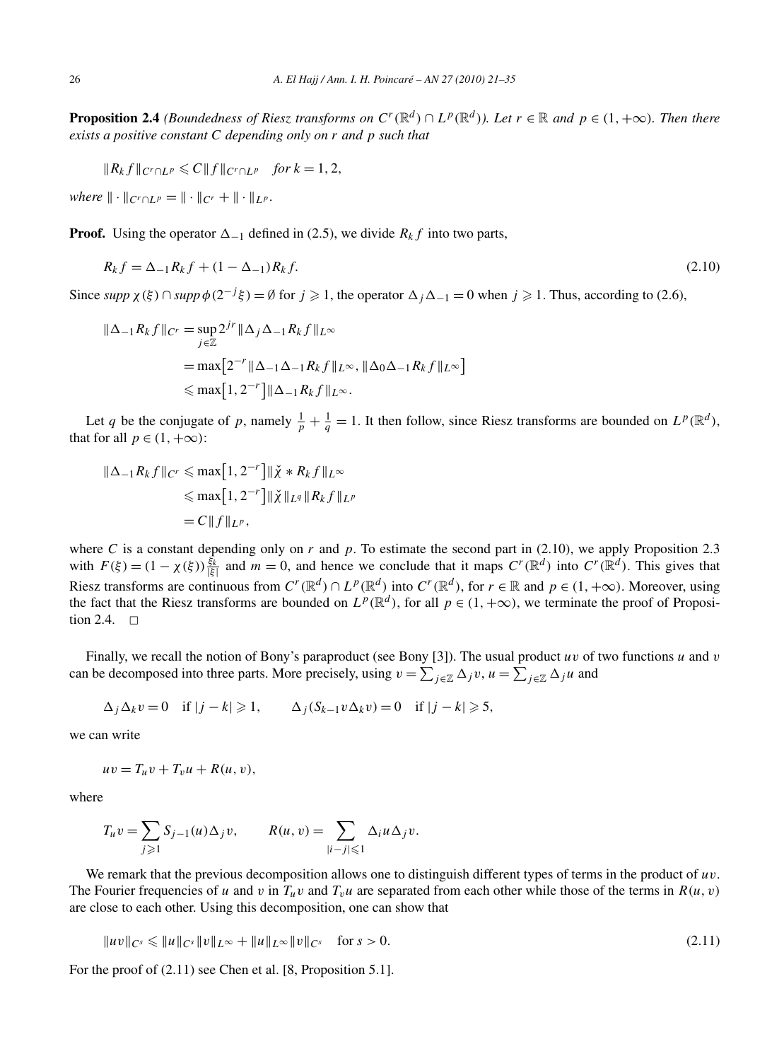**Proposition 2.4** (Boundedness of Riesz transforms on  $C^r(\mathbb{R}^d) \cap L^p(\mathbb{R}^d)$ ). Let  $r \in \mathbb{R}$  and  $p \in (1, +\infty)$ . Then there *exists a positive constant C depending only on r and p such that*

$$
||R_k f||_{C^r \cap L^p} \leq C||f||_{C^r \cap L^p} \quad \text{for } k = 1, 2,
$$

*where*  $\|\cdot\|_{C^r \cap L^p} = \|\cdot\|_{C^r} + \|\cdot\|_{L^p}$ .

**Proof.** Using the operator  $\Delta_{-1}$  defined in (2.5), we divide  $R_k f$  into two parts,

$$
R_k f = \Delta_{-1} R_k f + (1 - \Delta_{-1}) R_k f. \tag{2.10}
$$

Since  $supp \chi(\xi) \cap supp \phi(2^{-j}\xi) = \emptyset$  for  $j \ge 1$ , the operator  $\Delta_j \Delta_{-1} = 0$  when  $j \ge 1$ . Thus, according to (2.6),

$$
\|\Delta_{-1}R_k f\|_{C^r} = \sup_{j\in\mathbb{Z}} 2^{jr} \|\Delta_j \Delta_{-1} R_k f\|_{L^\infty}
$$
  
=  $\max [2^{-r} \|\Delta_{-1} \Delta_{-1} R_k f\|_{L^\infty}, \|\Delta_0 \Delta_{-1} R_k f\|_{L^\infty}]$   
 $\le \max [1, 2^{-r}] \|\Delta_{-1} R_k f\|_{L^\infty}.$ 

Let *q* be the conjugate of *p*, namely  $\frac{1}{p} + \frac{1}{q} = 1$ . It then follow, since Riesz transforms are bounded on  $L^p(\mathbb{R}^d)$ , that for all  $p \in (1, +\infty)$ :

$$
\|\Delta_{-1}R_k f\|_{C^r} \le \max[1, 2^{-r}]\|\check{\chi} * R_k f\|_{L^\infty}
$$
  

$$
\le \max[1, 2^{-r}]\|\check{\chi}\|_{L^q} \|R_k f\|_{L^p}
$$
  

$$
= C \|f\|_{L^p},
$$

where *C* is a constant depending only on  $r$  and  $p$ . To estimate the second part in (2.10), we apply Proposition 2.3 with  $F(\xi) = (1 - \chi(\xi)) \frac{\xi_k}{|\xi|}$  and  $m = 0$ , and hence we conclude that it maps  $C^r(\mathbb{R}^d)$  into  $C^r(\mathbb{R}^d)$ . This gives that Riesz transforms are continuous from  $C^r(\mathbb{R}^d) \cap L^p(\mathbb{R}^d)$  into  $C^r(\mathbb{R}^d)$ , for  $r \in \mathbb{R}$  and  $p \in (1, +\infty)$ . Moreover, using the fact that the Riesz transforms are bounded on  $L^p(\mathbb{R}^d)$ , for all  $p \in (1, +\infty)$ , we terminate the proof of Proposition 2.4.  $\Box$ 

Finally, we recall the notion of Bony's paraproduct (see Bony [3]). The usual product *uv* of two functions *u* and *v* can be decomposed into three parts. More precisely, using  $v = \sum_{j \in \mathbb{Z}} \Delta_j v$ ,  $u = \sum_{j \in \mathbb{Z}} \Delta_j u$  and

$$
\Delta_j \Delta_k v = 0 \quad \text{if } |j - k| \geq 1, \qquad \Delta_j (S_{k-1} v \Delta_k v) = 0 \quad \text{if } |j - k| \geq 5,
$$

we can write

$$
uv = T_u v + T_v u + R(u, v),
$$

where

$$
T_u v = \sum_{j \geq 1} S_{j-1}(u) \Delta_j v, \qquad R(u, v) = \sum_{|i-j| \leq 1} \Delta_i u \Delta_j v.
$$

We remark that the previous decomposition allows one to distinguish different types of terms in the product of *uv*. The Fourier frequencies of *u* and *v* in  $T_u v$  and  $T_v u$  are separated from each other while those of the terms in  $R(u, v)$ are close to each other. Using this decomposition, one can show that

$$
||uv||_{C^{s}} \leq ||u||_{C^{s}} ||v||_{L^{\infty}} + ||u||_{L^{\infty}} ||v||_{C^{s}} \quad \text{for } s > 0.
$$
\n(2.11)

For the proof of (2.11) see Chen et al. [8, Proposition 5.1].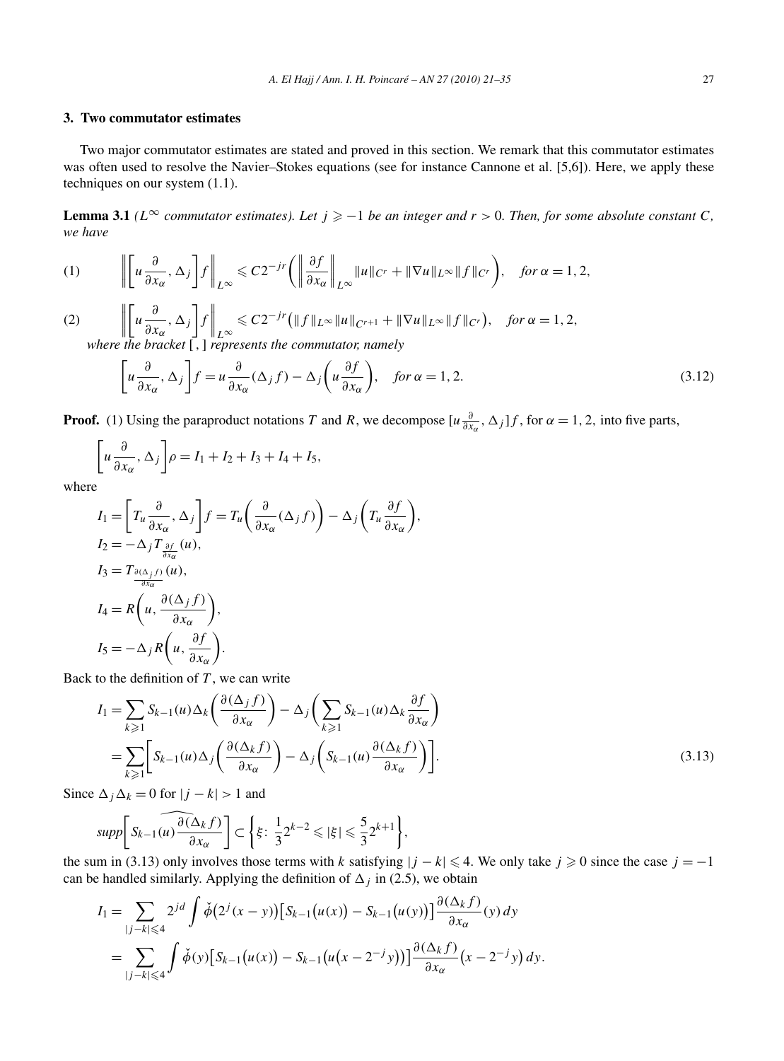# **3. Two commutator estimates**

Two major commutator estimates are stated and proved in this section. We remark that this commutator estimates was often used to resolve the Navier–Stokes equations (see for instance Cannone et al. [5,6]). Here, we apply these techniques on our system (1.1).

**Lemma 3.1** *(L*<sup>∞</sup> *commutator estimates). Let*  $j \geq -1$  *be an integer and*  $r > 0$ *. Then, for some absolute constant C, we have*

(1) 
$$
\left\| \begin{bmatrix} u \frac{\partial}{\partial x_{\alpha}}, \Delta_j \end{bmatrix} f \right\|_{L^{\infty}} \leq C 2^{-jr} \left( \left\| \frac{\partial f}{\partial x_{\alpha}} \right\|_{L^{\infty}} \|u\|_{C^r} + \|\nabla u\|_{L^{\infty}} \|f\|_{C^r} \right), \text{ for } \alpha = 1, 2,
$$

(2)  $\begin{array}{c} \begin{array}{c} \begin{array}{c} \begin{array}{c} \end{array}\\ \end{array} \end{array} \end{array} \end{array}$  *u ∂*  $\frac{\partial}{\partial x_\alpha}$ , Δ<sub>*j*</sub> ľ *f*  $\bigg\|$ <sub>L</sub>∞  $\leq C2^{-jr} (\|f\|_{L^{\infty}} \|u\|_{C^{r+1}} + \|\nabla u\|_{L^{\infty}} \|f\|_{C^r}), \text{ for } \alpha = 1, 2,$ *where the bracket* [*,*] *represents the commutator, namely*

$$
\left[u\frac{\partial}{\partial x_{\alpha}}, \Delta_{j}\right]f = u\frac{\partial}{\partial x_{\alpha}}(\Delta_{j}f) - \Delta_{j}\left(u\frac{\partial f}{\partial x_{\alpha}}\right), \quad \text{for } \alpha = 1, 2. \tag{3.12}
$$

**Proof.** (1) Using the paraproduct notations *T* and *R*, we decompose  $[u \frac{\partial}{\partial x_\alpha}, \Delta_j]f$ , for  $\alpha = 1, 2$ , into five parts,

$$
\left[u\frac{\partial}{\partial x_{\alpha}}, \Delta_j\right]\rho = I_1 + I_2 + I_3 + I_4 + I_5,
$$

where

$$
I_{1} = \left[ T_{u} \frac{\partial}{\partial x_{\alpha}}, \Delta_{j} \right] f = T_{u} \left( \frac{\partial}{\partial x_{\alpha}} (\Delta_{j} f) \right) - \Delta_{j} \left( T_{u} \frac{\partial f}{\partial x_{\alpha}} \right),
$$
  
\n
$$
I_{2} = -\Delta_{j} T \frac{\partial f}{\partial x_{\alpha}} (u),
$$
  
\n
$$
I_{3} = T_{\frac{\partial(\Delta_{j} f)}{\partial x_{\alpha}} (u),}
$$
  
\n
$$
I_{4} = R \left( u, \frac{\partial(\Delta_{j} f)}{\partial x_{\alpha}} \right),
$$
  
\n
$$
I_{5} = -\Delta_{j} R \left( u, \frac{\partial f}{\partial x_{\alpha}} \right).
$$

Back to the definition of *T* , we can write

$$
I_{1} = \sum_{k \geq 1} S_{k-1}(u) \Delta_{k} \left( \frac{\partial (\Delta_{j} f)}{\partial x_{\alpha}} \right) - \Delta_{j} \left( \sum_{k \geq 1} S_{k-1}(u) \Delta_{k} \frac{\partial f}{\partial x_{\alpha}} \right)
$$
  
= 
$$
\sum_{k \geq 1} \left[ S_{k-1}(u) \Delta_{j} \left( \frac{\partial (\Delta_{k} f)}{\partial x_{\alpha}} \right) - \Delta_{j} \left( S_{k-1}(u) \frac{\partial (\Delta_{k} f)}{\partial x_{\alpha}} \right) \right].
$$
 (3.13)

Since  $\Delta_j \Delta_k = 0$  for  $|j - k| > 1$  and

$$
supp\bigg[S_{k-1}(u)\frac{\partial(\Delta_k f)}{\partial x_\alpha}\bigg]\subset \bigg\{\xi\colon \frac{1}{3}2^{k-2}\leqslant |\xi|\leqslant \frac{5}{3}2^{k+1}\bigg\},\
$$

the sum in (3.13) only involves those terms with *k* satisfying  $|j - k| \leq 4$ . We only take  $j \geq 0$  since the case  $j = -1$ can be handled similarly. Applying the definition of  $\Delta_i$  in (2.5), we obtain

$$
I_{1} = \sum_{|j-k| \leq 4} 2^{jd} \int \check{\phi}\big(2^{j}(x-y)\big)\big[S_{k-1}\big(u(x)\big) - S_{k-1}\big(u(y)\big)\big]\frac{\partial(\Delta_{k}f)}{\partial x_{\alpha}}(y) dy
$$
  
= 
$$
\sum_{|j-k| \leq 4} \int \check{\phi}(y)\big[S_{k-1}\big(u(x)\big) - S_{k-1}\big(u(x-2^{-j}y)\big)\big]\frac{\partial(\Delta_{k}f)}{\partial x_{\alpha}}(x-2^{-j}y) dy.
$$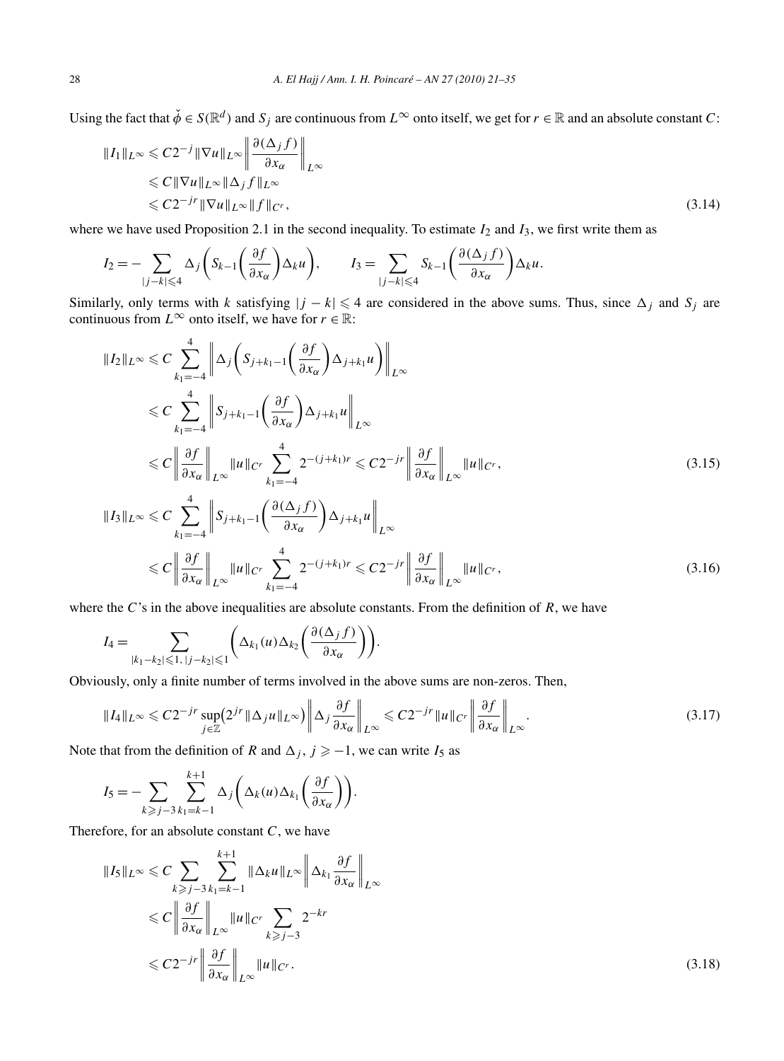Using the fact that  $\check{\phi} \in S(\mathbb{R}^d)$  and  $S_i$  are continuous from  $L^\infty$  onto itself, we get for  $r \in \mathbb{R}$  and an absolute constant *C*:

$$
||I_1||_{L^{\infty}} \leq C2^{-j} ||\nabla u||_{L^{\infty}} \left\| \frac{\partial (\Delta_j f)}{\partial x_{\alpha}} \right\|_{L^{\infty}}
$$
  
\n
$$
\leq C ||\nabla u||_{L^{\infty}} ||\Delta_j f||_{L^{\infty}}
$$
  
\n
$$
\leq C2^{-j} ||\nabla u||_{L^{\infty}} ||f||_{C^r},
$$
\n(3.14)

where we have used Proposition 2.1 in the second inequality. To estimate  $I_2$  and  $I_3$ , we first write them as

$$
I_2 = -\sum_{|j-k| \leq 4} \Delta_j \left( S_{k-1} \left( \frac{\partial f}{\partial x_{\alpha}} \right) \Delta_k u \right), \qquad I_3 = \sum_{|j-k| \leq 4} S_{k-1} \left( \frac{\partial (\Delta_j f)}{\partial x_{\alpha}} \right) \Delta_k u.
$$

Similarly, only terms with *k* satisfying  $|j - k| \leq 4$  are considered in the above sums. Thus, since  $\Delta_j$  and  $S_j$  are continuous from  $L^{\infty}$  onto itself, we have for  $r \in \mathbb{R}$ :

$$
||I_{2}||_{L^{\infty}} \leq C \sum_{k_{1}=-4}^{4} \left\| \Delta_{j} \left( S_{j+k_{1}-1} \left( \frac{\partial f}{\partial x_{\alpha}} \right) \Delta_{j+k_{1}} u \right) \right\|_{L^{\infty}}
$$
  
\n
$$
\leq C \sum_{k_{1}=-4}^{4} \left\| S_{j+k_{1}-1} \left( \frac{\partial f}{\partial x_{\alpha}} \right) \Delta_{j+k_{1}} u \right\|_{L^{\infty}}
$$
  
\n
$$
\leq C \left\| \frac{\partial f}{\partial x_{\alpha}} \right\|_{L^{\infty}} ||u||_{C^{r}} \sum_{k_{1}=-4}^{4} 2^{-(j+k_{1})r} \leq C2^{-jr} \left\| \frac{\partial f}{\partial x_{\alpha}} \right\|_{L^{\infty}} ||u||_{C^{r}}, \tag{3.15}
$$
  
\n
$$
||I_{3}||_{L^{\infty}} \leq C \sum_{k_{1}=-4}^{4} \left\| S_{j+k_{1}-1} \left( \frac{\partial (\Delta_{j} f)}{\partial x_{\alpha}} \right) \Delta_{j+k_{1}} u \right\|_{L^{\infty}}
$$
  
\n
$$
\leq C \left\| \frac{\partial f}{\partial x_{\alpha}} \right\|_{L^{\infty}} ||u||_{C^{r}} \sum_{k_{1}=-4}^{4} 2^{-(j+k_{1})r} \leq C2^{-jr} \left\| \frac{\partial f}{\partial x_{\alpha}} \right\|_{L^{\infty}} ||u||_{C^{r}}, \tag{3.16}
$$

where the *C*'s in the above inequalities are absolute constants. From the definition of *R*, we have

$$
I_4 = \sum_{|k_1 - k_2| \leqslant 1, |j - k_2| \leqslant 1} \left( \Delta_{k_1}(u) \Delta_{k_2}\left(\frac{\partial (\Delta_j f)}{\partial x_{\alpha}}\right) \right).
$$

Obviously, only a finite number of terms involved in the above sums are non-zeros. Then,

$$
||I_4||_{L^{\infty}} \leq C2^{-jr} \sup_{j \in \mathbb{Z}} (2^{jr} ||\Delta_j u||_{L^{\infty}}) \left\| \Delta_j \frac{\partial f}{\partial x_{\alpha}} \right\|_{L^{\infty}} \leq C2^{-jr} ||u||_{C^r} \left\| \frac{\partial f}{\partial x_{\alpha}} \right\|_{L^{\infty}}.
$$
\n(3.17)

Note that from the definition of *R* and  $\Delta_j$ ,  $j \geq -1$ , we can write *I*<sub>5</sub> as

$$
I_5 = -\sum_{k \geq j-3} \sum_{k_1=k-1}^{k+1} \Delta_j \bigg( \Delta_k(u) \Delta_{k_1}\bigg(\frac{\partial f}{\partial x_\alpha}\bigg) \bigg).
$$

Therefore, for an absolute constant *C*, we have

$$
||I_{5}||_{L^{\infty}} \leq C \sum_{k \geq j-3} \sum_{k_{1}=k-1}^{k+1} ||\Delta_{k}u||_{L^{\infty}} \left\| \Delta_{k_{1}} \frac{\partial f}{\partial x_{\alpha}} \right\|_{L^{\infty}}
$$
  
\n
$$
\leq C \left\| \frac{\partial f}{\partial x_{\alpha}} \right\|_{L^{\infty}} ||u||_{C^{r}} \sum_{k \geq j-3} 2^{-kr}
$$
  
\n
$$
\leq C 2^{-jr} \left\| \frac{\partial f}{\partial x_{\alpha}} \right\|_{L^{\infty}} ||u||_{C^{r}}.
$$
\n(3.18)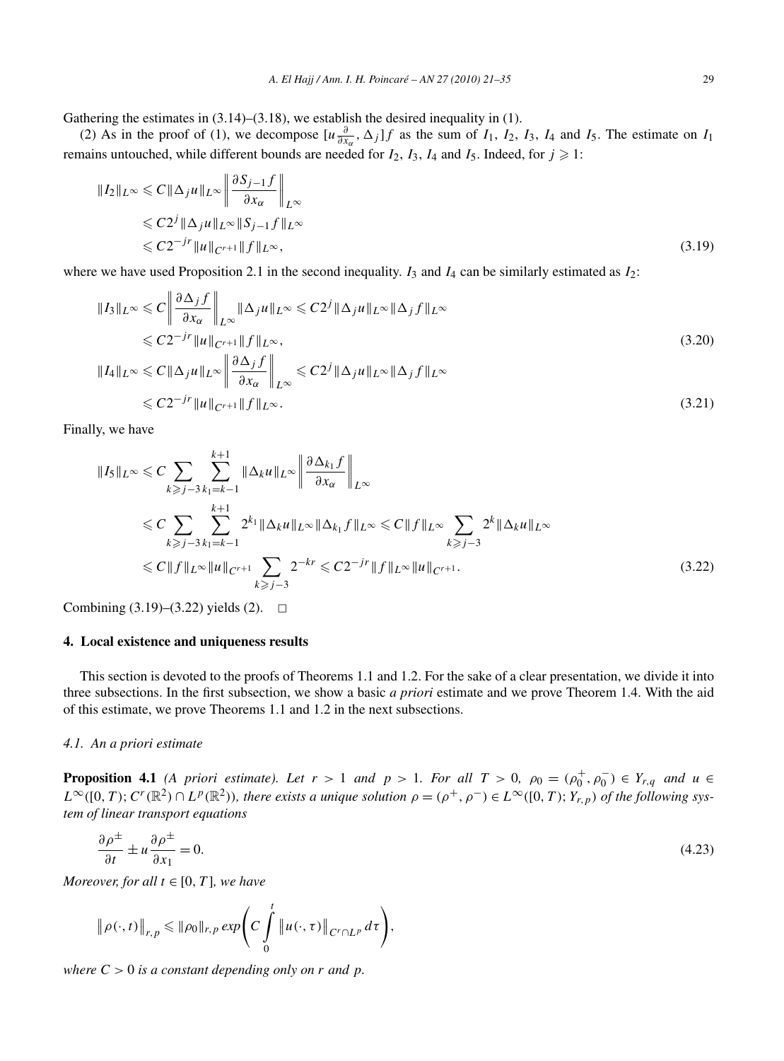Gathering the estimates in (3.14)–(3.18), we establish the desired inequality in (1).

(2) As in the proof of (1), we decompose  $[u\frac{\partial}{\partial x_\alpha}, \Delta_j]f$  as the sum of  $I_1$ ,  $I_2$ ,  $I_3$ ,  $I_4$  and  $I_5$ . The estimate on  $I_1$ remains untouched, while different bounds are needed for  $I_2$ ,  $I_3$ ,  $I_4$  and  $I_5$ . Indeed, for  $j \geq 1$ :

$$
||I_2||_{L^{\infty}} \leq C||\Delta_j u||_{L^{\infty}} \left\| \frac{\partial S_{j-1}f}{\partial x_{\alpha}} \right\|_{L^{\infty}}
$$
  
\n
$$
\leq C2^{j} ||\Delta_j u||_{L^{\infty}} ||S_{j-1}f||_{L^{\infty}}
$$
  
\n
$$
\leq C2^{-j}r ||u||_{C^{r+1}} ||f||_{L^{\infty}},
$$
\n(3.19)

where we have used Proposition 2.1 in the second inequality.  $I_3$  and  $I_4$  can be similarly estimated as  $I_2$ :

$$
||I_3||_{L^{\infty}} \leq C \left\| \frac{\partial \Delta_j f}{\partial x_{\alpha}} \right\|_{L^{\infty}} ||\Delta_j u||_{L^{\infty}} \leq C 2^j ||\Delta_j u||_{L^{\infty}} ||\Delta_j f||_{L^{\infty}}
$$
  
\n
$$
\leq C 2^{-j} ||u||_{C^{r+1}} ||f||_{L^{\infty}},
$$
  
\n
$$
||I_4||_{L^{\infty}} \leq C ||\Delta_j u||_{L^{\infty}} \left\| \frac{\partial \Delta_j f}{\partial x_{\alpha}} \right\|_{L^{\infty}} \leq C 2^j ||\Delta_j u||_{L^{\infty}} ||\Delta_j f||_{L^{\infty}}
$$
  
\n
$$
\leq C 2^{-j} ||u||_{C^{r+1}} ||f||_{L^{\infty}}.
$$
\n(3.21)

Finally, we have

$$
||I_{5}||_{L^{\infty}} \leq C \sum_{k \geq j-3} \sum_{k_{1}=\kappa-1}^{k+1} ||\Delta_{k}u||_{L^{\infty}} \left\| \frac{\partial \Delta_{k_{1}}f}{\partial x_{\alpha}} \right\|_{L^{\infty}}
$$
  
\n
$$
\leq C \sum_{k \geq j-3} \sum_{k_{1}=\kappa-1}^{k+1} 2^{k_{1}} ||\Delta_{k}u||_{L^{\infty}} ||\Delta_{k_{1}}f||_{L^{\infty}} \leq C ||f||_{L^{\infty}} \sum_{k \geq j-3} 2^{k} ||\Delta_{k}u||_{L^{\infty}}
$$
  
\n
$$
\leq C ||f||_{L^{\infty}} ||u||_{C^{r+1}} \sum_{k \geq j-3} 2^{-kr} \leq C 2^{-jr} ||f||_{L^{\infty}} ||u||_{C^{r+1}}.
$$
\n(3.22)

Combining  $(3.19)$ – $(3.22)$  yields  $(2)$ .  $\Box$ 

# **4. Local existence and uniqueness results**

This section is devoted to the proofs of Theorems 1.1 and 1.2. For the sake of a clear presentation, we divide it into three subsections. In the first subsection, we show a basic *a priori* estimate and we prove Theorem 1.4. With the aid of this estimate, we prove Theorems 1.1 and 1.2 in the next subsections.

# *4.1. An a priori estimate*

**Proposition 4.1** *(A priori estimate). Let*  $r > 1$  *and*  $p > 1$ *. For all*  $T > 0$ *,*  $\rho_0 = (\rho_0^+, \rho_0^-) \in Y_{r,q}$  *and*  $u \in$  $L^{\infty}([0,T); C^{r}(\mathbb{R}^{2}) \cap L^{p}(\mathbb{R}^{2}))$ , there exists a unique solution  $\rho = (\rho^{+}, \rho^{-}) \in L^{\infty}([0,T); Y_{r,p})$  of the following sys*tem of linear transport equations*

$$
\frac{\partial \rho^{\pm}}{\partial t} \pm u \frac{\partial \rho^{\pm}}{\partial x_1} = 0. \tag{4.23}
$$

*Moreover, for all*  $t \in [0, T]$ *, we have* 

$$
\|\rho(\cdot,t)\|_{r,p}\leqslant \|\rho_0\|_{r,p}\exp\Biggl(C\int\limits_0^t\|u(\cdot,\tau)\|_{C^r\cap L^p}\,d\tau\Biggr),\,
$$

*where*  $C > 0$  *is a constant depending only on r and p.*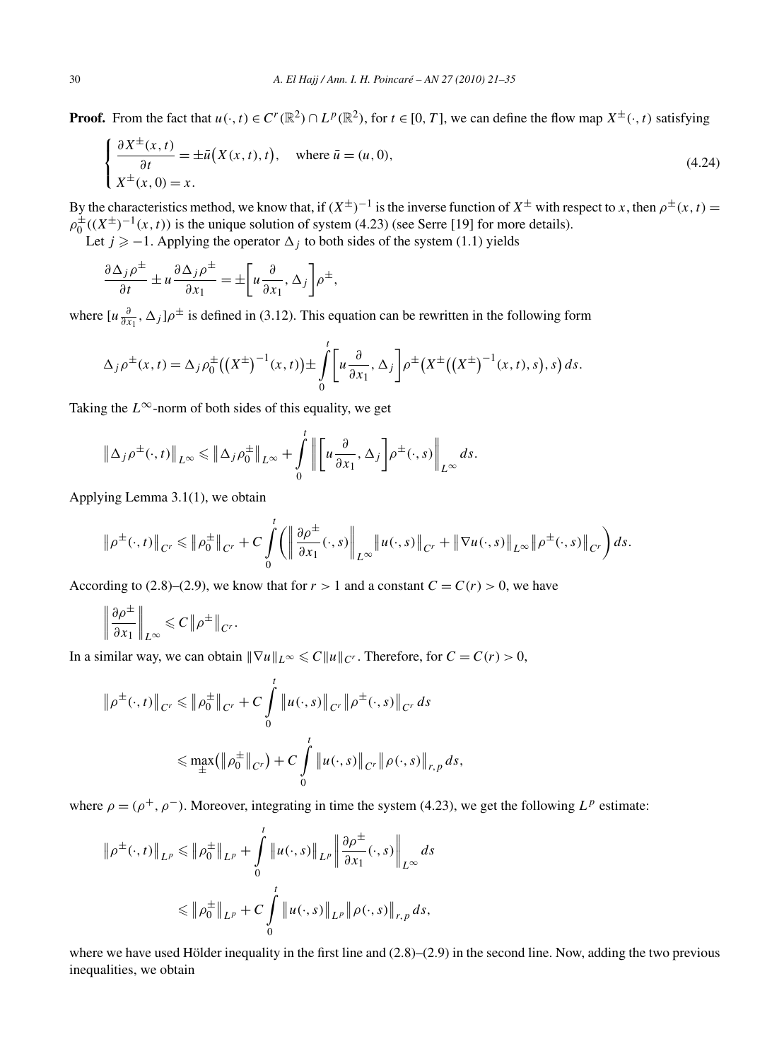**Proof.** From the fact that  $u(\cdot, t) \in C^r(\mathbb{R}^2) \cap L^p(\mathbb{R}^2)$ , for  $t \in [0, T]$ , we can define the flow map  $X^{\pm}(\cdot, t)$  satisfying

$$
\begin{cases} \frac{\partial X^{\pm}(x,t)}{\partial t} = \pm \bar{u}(X(x,t),t), \quad \text{where } \bar{u} = (u,0),\\ X^{\pm}(x,0) = x. \end{cases}
$$
\n(4.24)

By the characteristics method, we know that, if  $(X^{\pm})^{-1}$  is the inverse function of  $X^{\pm}$  with respect to *x*, then  $\rho^{\pm}(x, t)$  =  $\rho_0^{\pm}((X^{\pm})^{-1}(x,t))$  is the unique solution of system (4.23) (see Serre [19] for more details). Let  $j \geq -1$ . Applying the operator  $\Delta_j$  to both sides of the system (1.1) yields

$$
\frac{\partial \Delta_j \rho^{\pm}}{\partial t} \pm u \frac{\partial \Delta_j \rho^{\pm}}{\partial x_1} = \pm \left[ u \frac{\partial}{\partial x_1}, \Delta_j \right] \rho^{\pm},
$$

where  $[u\frac{\partial}{\partial x_1}, \Delta_j]\rho^{\pm}$  is defined in (3.12). This equation can be rewritten in the following form

$$
\Delta_j \rho^{\pm}(x,t) = \Delta_j \rho_0^{\pm} ((X^{\pm})^{-1}(x,t)) \pm \int_0^t \left[ u \frac{\partial}{\partial x_1}, \Delta_j \right] \rho^{\pm} (X^{\pm} ((X^{\pm})^{-1}(x,t),s), s) ds.
$$

Taking the  $L^{\infty}$ -norm of both sides of this equality, we get

$$
\|\Delta_j \rho^{\pm}(\cdot, t)\|_{L^{\infty}} \le \|\Delta_j \rho_0^{\pm}\|_{L^{\infty}} + \int\limits_0^t \left\| \left[u\frac{\partial}{\partial x_1}, \Delta_j\right] \rho^{\pm}(\cdot, s)\right\|_{L^{\infty}} ds.
$$

Applying Lemma 3.1(1), we obtain

$$
\|\rho^{\pm}(\cdot,t)\|_{C^r} \leqslant \|\rho_0^{\pm}\|_{C^r} + C \int\limits_0^t \left( \left\|\frac{\partial \rho^{\pm}}{\partial x_1}(\cdot,s)\right\|_{L^{\infty}} \|u(\cdot,s)\|_{C^r} + \|\nabla u(\cdot,s)\|_{L^{\infty}} \|\rho^{\pm}(\cdot,s)\|_{C^r} \right) ds.
$$

According to (2.8)–(2.9), we know that for  $r > 1$  and a constant  $C = C(r) > 0$ , we have

$$
\left\|\frac{\partial \rho^{\pm}}{\partial x_1}\right\|_{L^{\infty}} \leqslant C \left\|\rho^{\pm}\right\|_{C^r}.
$$

In a similar way, we can obtain  $\|\nabla u\|_{L^{\infty}} \leq C \|u\|_{C^r}$ . Therefore, for  $C = C(r) > 0$ ,

$$
\|\rho^{\pm}(\cdot,t)\|_{C^r} \le \|\rho_0^{\pm}\|_{C^r} + C \int_0^t \|u(\cdot,s)\|_{C^r} \|\rho^{\pm}(\cdot,s)\|_{C^r} ds
$$
  

$$
\le \max_{\pm} (\|\rho_0^{\pm}\|_{C^r}) + C \int_0^t \|u(\cdot,s)\|_{C^r} \|\rho(\cdot,s)\|_{r,p} ds,
$$

where  $\rho = (\rho^+, \rho^-)$ . Moreover, integrating in time the system (4.23), we get the following  $L^p$  estimate:

$$
\|\rho^{\pm}(\cdot,t)\|_{L^{p}} \le \|\rho^{\pm}_{0}\|_{L^{p}} + \int_{0}^{t} \|u(\cdot,s)\|_{L^{p}} \left\|\frac{\partial \rho^{\pm}}{\partial x_{1}}(\cdot,s)\right\|_{L^{\infty}} ds
$$
  

$$
\le \|\rho^{\pm}_{0}\|_{L^{p}} + C \int_{0}^{t} \|u(\cdot,s)\|_{L^{p}} \|\rho(\cdot,s)\|_{r,p} ds,
$$

where we have used Hölder inequality in the first line and  $(2.8)$ – $(2.9)$  in the second line. Now, adding the two previous inequalities, we obtain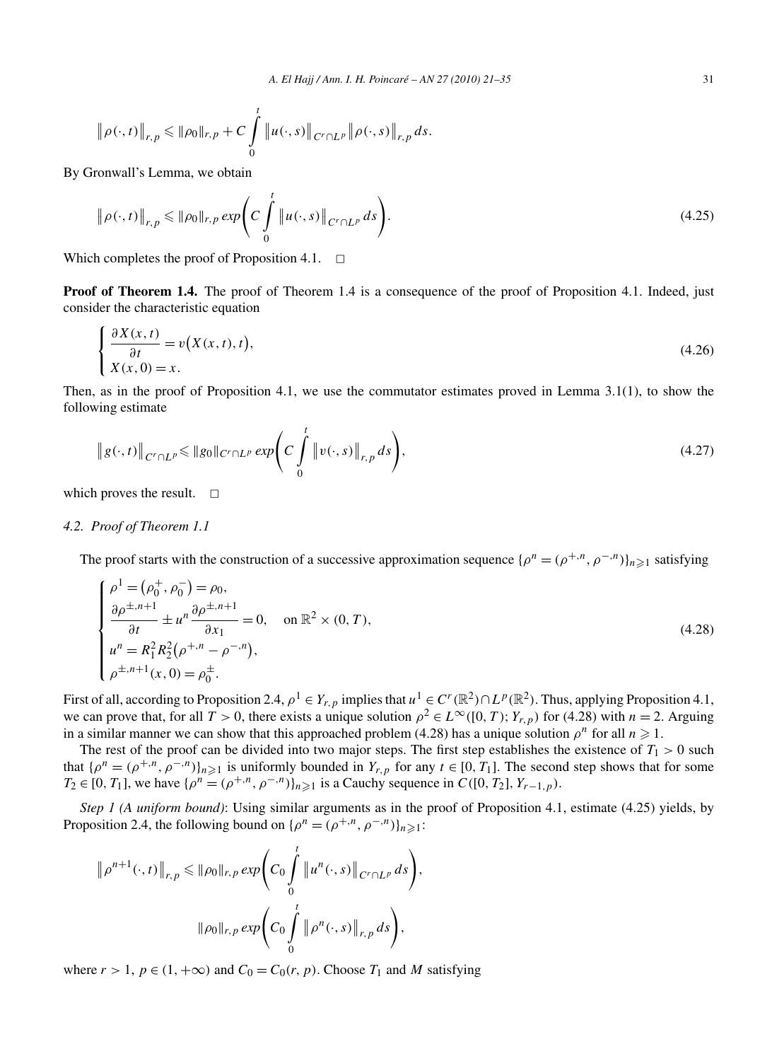$$
\|\rho(\cdot,t)\|_{r,p} \le \|\rho_0\|_{r,p} + C \int\limits_0^t \|u(\cdot,s)\|_{C^r \cap L^p} \|\rho(\cdot,s)\|_{r,p} ds.
$$

By Gronwall's Lemma, we obtain

$$
\|\rho(\cdot,t)\|_{r,p} \le \|\rho_0\|_{r,p} \exp\left(C \int\limits_0^t \|u(\cdot,s)\|_{C^r \cap L^p} ds\right).
$$
\n(4.25)

Which completes the proof of Proposition 4.1.  $\Box$ 

**Proof of Theorem 1.4.** The proof of Theorem 1.4 is a consequence of the proof of Proposition 4.1. Indeed, just consider the characteristic equation

$$
\begin{cases}\n\frac{\partial X(x,t)}{\partial t} = v(X(x,t),t),\\ X(x,0) = x.\n\end{cases}
$$
\n(4.26)

Then, as in the proof of Proposition 4.1, we use the commutator estimates proved in Lemma 3.1(1), to show the following estimate

$$
\|g(\cdot,t)\|_{C^r \cap L^p} \le \|g_0\|_{C^r \cap L^p} \exp\left(C \int\limits_0^t \|v(\cdot,s)\|_{r,p} ds\right),\tag{4.27}
$$

which proves the result.  $\Box$ 

# *4.2. Proof of Theorem 1.1*

The proof starts with the construction of a successive approximation sequence  $\{\rho^n = (\rho^{+,n}, \rho^{-,n})\}_{n \geq 1}$  satisfying

$$
\begin{cases}\n\rho^{1} = (\rho_{0}^{+}, \rho_{0}^{-}) = \rho_{0}, \\
\frac{\partial \rho^{\pm, n+1}}{\partial t} \pm u^{n} \frac{\partial \rho^{\pm, n+1}}{\partial x_{1}} = 0, \quad \text{on } \mathbb{R}^{2} \times (0, T), \\
u^{n} = R_{1}^{2} R_{2}^{2} (\rho^{+, n} - \rho^{-, n}), \\
\rho^{\pm, n+1}(x, 0) = \rho_{0}^{\pm}.\n\end{cases}
$$
\n(4.28)

First of all, according to Proposition 2.4,  $\rho^1 \in Y_{r,p}$  implies that  $u^1 \in C^r(\mathbb{R}^2) \cap L^p(\mathbb{R}^2)$ . Thus, applying Proposition 4.1, we can prove that, for all  $T > 0$ , there exists a unique solution  $\rho^2 \in L^\infty([0, T); Y_{r,p})$  for (4.28) with  $n = 2$ . Arguing in a similar manner we can show that this approached problem (4.28) has a unique solution  $\rho^n$  for all  $n \ge 1$ .

The rest of the proof can be divided into two major steps. The first step establishes the existence of  $T_1 > 0$  such that  $\{\rho^n = (\rho^{+,n}, \rho^{-,n})\}_{n \geq 1}$  is uniformly bounded in  $Y_{r,p}$  for any  $t \in [0, T_1]$ . The second step shows that for some *T*<sub>2</sub> ∈ [0*, T*<sub>1</sub>], we have  $\{\rho^n = (\rho^{+,n}, \rho^{-,n})\}_{n \geq 1}$  is a Cauchy sequence in *C*([0*, T*<sub>2</sub>]*, Y<sub>r</sub>*−1*,p*).

*Step 1 (A uniform bound)*: Using similar arguments as in the proof of Proposition 4.1, estimate (4.25) yields, by Proposition 2.4, the following bound on  $\{\rho^n = (\rho^{+,n}, \rho^{-,n})\}_{n \geq 1}$ :

$$
\|\rho^{n+1}(\cdot,t)\|_{r,p} \le \|\rho_0\|_{r,p} \exp\left(C_0 \int_0^t \|u^n(\cdot,s)\|_{C^r \cap L^p} ds\right),
$$
  

$$
\|\rho_0\|_{r,p} \exp\left(C_0 \int_0^t \|\rho^n(\cdot,s)\|_{r,p} ds\right),
$$

where  $r > 1$ ,  $p \in (1, +\infty)$  and  $C_0 = C_0(r, p)$ . Choose  $T_1$  and M satisfying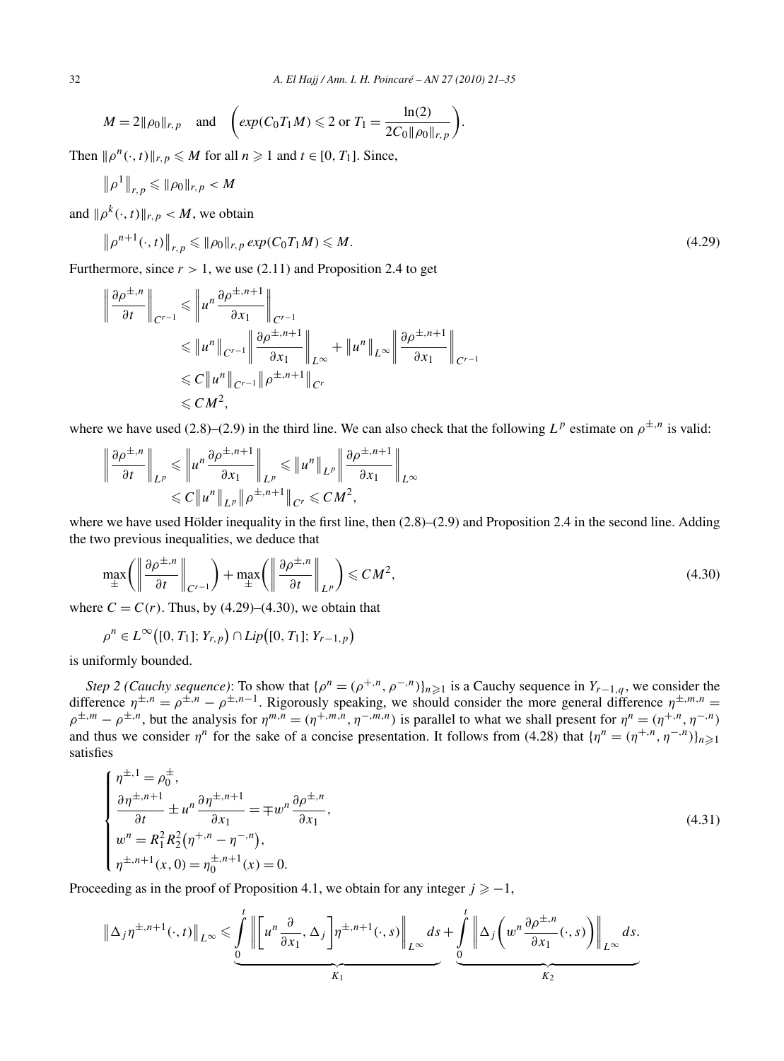$$
M = 2||\rho_0||_{r,p}
$$
 and  $\left(\exp(C_0T_1M) \le 2 \text{ or } T_1 = \frac{\ln(2)}{2C_0||\rho_0||_{r,p}}\right).$ 

Then  $\|\rho^n(\cdot, t)\|_{r,p} \le M$  for all  $n \ge 1$  and  $t \in [0, T_1]$ . Since,

$$
\left\|\rho^1\right\|_{r,p}\leqslant \|\rho_0\|_{r,p}
$$

and  $\|\rho^k(\cdot,t)\|_{r,p} < M$ , we obtain

$$
\left\| \rho^{n+1}(\cdot,t) \right\|_{r,p} \leqslant \|\rho_0\|_{r,p} \exp(C_0 T_1 M) \leqslant M. \tag{4.29}
$$

Furthermore, since  $r > 1$ , we use (2.11) and Proposition 2.4 to get

$$
\left\|\frac{\partial \rho^{\pm,n}}{\partial t}\right\|_{C^{r-1}} \leqslant \left\|u^n \frac{\partial \rho^{\pm,n+1}}{\partial x_1}\right\|_{C^{r-1}} \leqslant \left\|u^n\right\|_{C^{r-1}} \left\|\frac{\partial \rho^{\pm,n+1}}{\partial x_1}\right\|_{L^\infty} + \left\|u^n\right\|_{L^\infty} \left\|\frac{\partial \rho^{\pm,n+1}}{\partial x_1}\right\|_{C^{r-1}} \leqslant C \left\|u^n\right\|_{C^{r-1}} \left\|\rho^{\pm,n+1}\right\|_{C^r} \leqslant C M^2,
$$

where we have used (2.8)–(2.9) in the third line. We can also check that the following  $L^p$  estimate on  $\rho^{\pm,n}$  is valid:

$$
\left\|\frac{\partial \rho^{\pm,n}}{\partial t}\right\|_{L^p} \leqslant \left\|u^n \frac{\partial \rho^{\pm,n+1}}{\partial x_1}\right\|_{L^p} \leqslant \left\|u^n\right\|_{L^p} \left\|\frac{\partial \rho^{\pm,n+1}}{\partial x_1}\right\|_{L^\infty}
$$

$$
\leqslant C \left\|u^n\right\|_{L^p} \left\|\rho^{\pm,n+1}\right\|_{C^r} \leqslant C M^2,
$$

where we have used Hölder inequality in the first line, then  $(2.8)$ – $(2.9)$  and Proposition 2.4 in the second line. Adding the two previous inequalities, we deduce that

$$
\max_{\pm} \left( \left\| \frac{\partial \rho^{\pm, n}}{\partial t} \right\|_{C^{r-1}} \right) + \max_{\pm} \left( \left\| \frac{\partial \rho^{\pm, n}}{\partial t} \right\|_{L^p} \right) \leqslant C M^2,
$$
\n(4.30)

where  $C = C(r)$ . Thus, by (4.29)–(4.30), we obtain that

$$
\rho^n \in L^{\infty}\big([0, T_1]; Y_{r,p}\big) \cap Lip\big([0, T_1]; Y_{r-1,p}\big)
$$

is uniformly bounded.

*Step 2 (Cauchy sequence)*: To show that  $\{\rho^n = (\rho^{+,n}, \rho^{-,n})\}_{n \geq 1}$  is a Cauchy sequence in  $Y_{r-1,q}$ , we consider the difference  $\eta^{\pm,n} = \rho^{\pm,n} - \rho^{\pm,n-1}$ . Rigorously speaking, we should consider the more general difference  $\eta^{\pm,m,n} =$  $\rho^{\pm,m} - \rho^{\pm,n}$ , but the analysis for  $\eta^{m,n} = (\eta^{+,m,n}, \eta^{-,m,n})$  is parallel to what we shall present for  $\eta^n = (\eta^{+,n}, \eta^{-,n})$ and thus we consider  $\eta^n$  for the sake of a concise presentation. It follows from (4.28) that  $\{\eta^n = (\eta^{+,n}, \eta^{-,n})\}_{n \geq 1}$ satisfies

$$
\begin{cases}\n\eta^{\pm,1} = \rho_0^{\pm}, \n\frac{\partial \eta^{\pm,n+1}}{\partial t} \pm u^n \frac{\partial \eta^{\pm,n+1}}{\partial x_1} = \mp w^n \frac{\partial \rho^{\pm,n}}{\partial x_1}, \n w^n = R_1^2 R_2^2 (\eta^{+,n} - \eta^{-,n}), \n\eta^{\pm,n+1}(x,0) = \eta_0^{\pm,n+1}(x) = 0.\n\end{cases}
$$
\n(4.31)

Proceeding as in the proof of Proposition 4.1, we obtain for any integer  $j \geq -1$ ,

$$
\|\Delta_j \eta^{\pm, n+1}(\cdot, t)\|_{L^\infty} \leq \underbrace{\int_{0}^{t} \left\| \left[u^n \frac{\partial}{\partial x_1}, \Delta_j \right] \eta^{\pm, n+1}(\cdot, s)\right\|_{L^\infty} ds}_{K_1} + \underbrace{\int_{0}^{t} \left\| \Delta_j \left(u^n \frac{\partial \rho^{\pm, n}}{\partial x_1}(\cdot, s)\right) \right\|_{L^\infty} ds}_{K_2}.
$$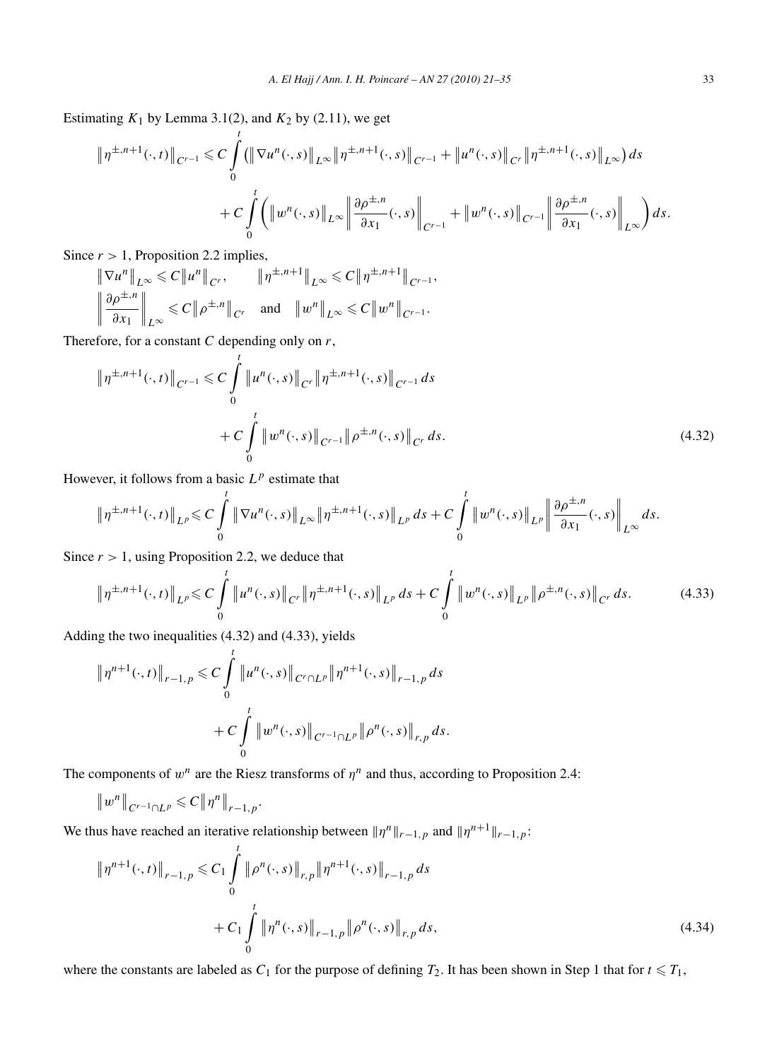Estimating  $K_1$  by Lemma 3.1(2), and  $K_2$  by (2.11), we get

$$
\|\eta^{\pm,n+1}(\cdot,t)\|_{C^{r-1}} \leq C \int_0^t \left( \|\nabla u^n(\cdot,s)\|_{L^\infty} \|\eta^{\pm,n+1}(\cdot,s)\|_{C^{r-1}} + \|u^n(\cdot,s)\|_{C^r} \|\eta^{\pm,n+1}(\cdot,s)\|_{L^\infty} \right) ds
$$
  
+ 
$$
C \int_0^t \left( \left\|w^n(\cdot,s)\right\|_{L^\infty} \left\|\frac{\partial \rho^{\pm,n}}{\partial x_1}(\cdot,s)\right\|_{C^{r-1}} + \left\|w^n(\cdot,s)\right\|_{C^{r-1}} \left\|\frac{\partial \rho^{\pm,n}}{\partial x_1}(\cdot,s)\right\|_{L^\infty} \right) ds.
$$

Since  $r > 1$ , Proposition 2.2 implies,

$$
\|\nabla u^{n}\|_{L^{\infty}} \leq C \|u^{n}\|_{C^{r}}, \qquad \|\eta^{\pm, n+1}\|_{L^{\infty}} \leq C \|\eta^{\pm, n+1}\|_{C^{r-1}},
$$
  

$$
\left\|\frac{\partial \rho^{\pm, n}}{\partial x_{1}}\right\|_{L^{\infty}} \leq C \|\rho^{\pm, n}\|_{C^{r}} \quad \text{and} \quad \|w^{n}\|_{L^{\infty}} \leq C \|w^{n}\|_{C^{r-1}}.
$$

Therefore, for a constant *C* depending only on *r*,

$$
\|\eta^{\pm,n+1}(\cdot,t)\|_{C^{r-1}} \leq C \int_{0}^{t} \|u^{n}(\cdot,s)\|_{C^{r}} \|\eta^{\pm,n+1}(\cdot,s)\|_{C^{r-1}} ds + C \int_{0}^{t} \|w^{n}(\cdot,s)\|_{C^{r-1}} \|\rho^{\pm,n}(\cdot,s)\|_{C^{r}} ds.
$$
 (4.32)

However, it follows from a basic  $L^p$  estimate that

$$
\|\eta^{\pm,n+1}(\cdot,t)\|_{L^p}\leq C\int\limits_0^t\|\nabla u^n(\cdot,s)\|_{L^\infty}\|\eta^{\pm,n+1}(\cdot,s)\|_{L^p}\,ds+C\int\limits_0^t\|w^n(\cdot,s)\|_{L^p}\left\|\frac{\partial\rho^{\pm,n}}{\partial x_1}(\cdot,s)\right\|_{L^\infty}\,ds.
$$

Since  $r > 1$ , using Proposition 2.2, we deduce that

$$
\|\eta^{\pm,n+1}(\cdot,t)\|_{L^p} \leq C \int_0^t \|u^n(\cdot,s)\|_{C^r} \|\eta^{\pm,n+1}(\cdot,s)\|_{L^p} ds + C \int_0^t \|w^n(\cdot,s)\|_{L^p} \|\rho^{\pm,n}(\cdot,s)\|_{C^r} ds. \tag{4.33}
$$

Adding the two inequalities (4.32) and (4.33), yields

$$
\|\eta^{n+1}(\cdot,t)\|_{r-1,p} \leq C \int_{0}^{t} \|u^{n}(\cdot,s)\|_{C^{r}\cap L^{p}} \|\eta^{n+1}(\cdot,s)\|_{r-1,p} ds
$$
  
+ 
$$
C \int_{0}^{t} \|w^{n}(\cdot,s)\|_{C^{r-1}\cap L^{p}} \|\rho^{n}(\cdot,s)\|_{r,p} ds.
$$

The components of  $w^n$  are the Riesz transforms of  $\eta^n$  and thus, according to Proposition 2.4:

$$
||w^n||_{C^{r-1}\cap L^p} \leq C||\eta^n||_{r-1,p}.
$$

We thus have reached an iterative relationship between  $\|\eta^n\|_{r-1,p}$  and  $\|\eta^{n+1}\|_{r-1,p}$ :

$$
\|\eta^{n+1}(\cdot,t)\|_{r-1,p} \leq C_1 \int_0^t \|\rho^n(\cdot,s)\|_{r,p} \|\eta^{n+1}(\cdot,s)\|_{r-1,p} ds + C_1 \int_0^t \|\eta^n(\cdot,s)\|_{r-1,p} \|\rho^n(\cdot,s)\|_{r,p} ds,
$$
\n(4.34)

where the constants are labeled as  $C_1$  for the purpose of defining  $T_2$ . It has been shown in Step 1 that for  $t \leq T_1$ ,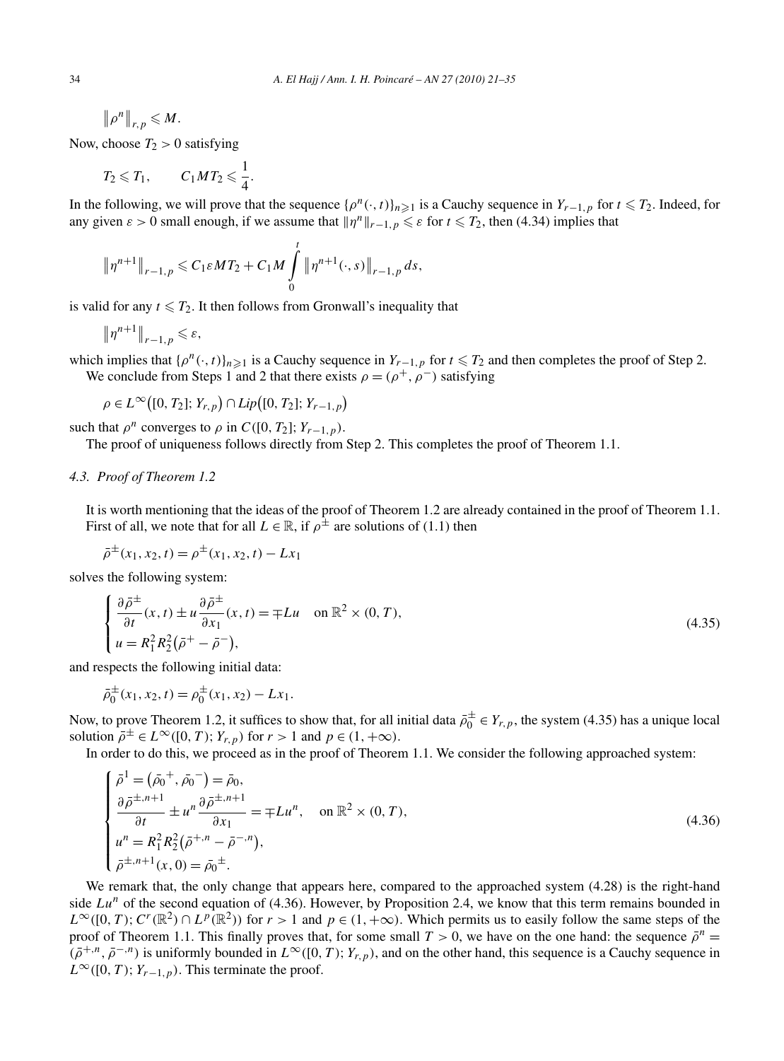$\left\| \rho^n \right\|_{r,p} \leqslant M.$ 

Now, choose  $T_2 > 0$  satisfying

$$
T_2 \leqslant T_1, \qquad C_1 M T_2 \leqslant \frac{1}{4}.
$$

In the following, we will prove that the sequence  $\{\rho^n(\cdot,t)\}_{n\geq 1}$  is a Cauchy sequence in  $Y_{r-1,p}$  for  $t \leq T_2$ . Indeed, for any given  $\varepsilon > 0$  small enough, if we assume that  $||\eta^n||_{r-1,p} \leq \varepsilon$  for  $t \leq T_2$ , then (4.34) implies that

$$
\|\eta^{n+1}\|_{r-1,p} \leq C_1 \varepsilon MT_2 + C_1 M \int_0^t \|\eta^{n+1}(\cdot,s)\|_{r-1,p} ds,
$$

is valid for any  $t \leq T_2$ . It then follows from Gronwall's inequality that

$$
\|\eta^{n+1}\|_{r-1,p}\leqslant \varepsilon,
$$

which implies that  $\{\rho^n(\cdot,t)\}_{n\geq 1}$  is a Cauchy sequence in  $Y_{r-1,p}$  for  $t \leq T_2$  and then completes the proof of Step 2. We conclude from Steps 1 and 2 that there exists  $\rho = (\rho^+, \rho^-)$  satisfying

 $\rho \in L^{\infty}([0, T_2]; Y_{r,p}) \cap Lip([0, T_2]; Y_{r-1,p})$ 

such that  $\rho^n$  converges to  $\rho$  in  $C([0, T_2]; Y_{r-1, p})$ .

The proof of uniqueness follows directly from Step 2. This completes the proof of Theorem 1.1.

# *4.3. Proof of Theorem 1.2*

It is worth mentioning that the ideas of the proof of Theorem 1.2 are already contained in the proof of Theorem 1.1. First of all, we note that for all  $L \in \mathbb{R}$ , if  $\rho^{\pm}$  are solutions of (1.1) then

$$
\bar{\rho}^{\pm}(x_1, x_2, t) = \rho^{\pm}(x_1, x_2, t) - Lx_1
$$

solves the following system:

$$
\begin{cases} \frac{\partial \bar{\rho}^{\pm}}{\partial t}(x,t) \pm u \frac{\partial \bar{\rho}^{\pm}}{\partial x_1}(x,t) = \mp Lu & \text{on } \mathbb{R}^2 \times (0,T), \\ u = R_1^2 R_2^2 (\bar{\rho}^+ - \bar{\rho}^-), \end{cases}
$$
(4.35)

and respects the following initial data:

$$
\bar{\rho}_0^{\pm}(x_1, x_2, t) = \rho_0^{\pm}(x_1, x_2) - Lx_1.
$$

Now, to prove Theorem 1.2, it suffices to show that, for all initial data  $\bar{\rho}_0^{\pm} \in Y_{r,p}$ , the system (4.35) has a unique local solution  $\bar{\rho}^{\pm} \in L^{\infty}([0, T); Y_{r, p})$  for  $r > 1$  and  $p \in (1, +\infty)$ .

In order to do this, we proceed as in the proof of Theorem 1.1. We consider the following approached system:

$$
\begin{cases}\n\bar{\rho}^1 = (\bar{\rho}_0^+, \bar{\rho}_0^-) = \bar{\rho}_0, \\
\frac{\partial \bar{\rho}^{\pm, n+1}}{\partial t} \pm u^n \frac{\partial \bar{\rho}^{\pm, n+1}}{\partial x_1} = \mp Lu^n, \quad \text{on } \mathbb{R}^2 \times (0, T), \\
u^n = R_1^2 R_2^2 (\bar{\rho}^{+, n} - \bar{\rho}^{-, n}), \\
\bar{\rho}^{\pm, n+1}(x, 0) = \bar{\rho}_0^{\pm}.\n\end{cases} \tag{4.36}
$$

We remark that, the only change that appears here, compared to the approached system (4.28) is the right-hand side  $Lu^n$  of the second equation of (4.36). However, by Proposition 2.4, we know that this term remains bounded in  $L^{\infty}([0, T); C^{r}(\mathbb{R}^{2}) \cap L^{p}(\mathbb{R}^{2})$  for  $r > 1$  and  $p \in (1, +\infty)$ . Which permits us to easily follow the same steps of the proof of Theorem 1.1. This finally proves that, for some small  $T > 0$ , we have on the one hand: the sequence  $\bar{\rho}^n =$  $(\bar{\rho}^{+,n}, \bar{\rho}^{-,n})$  is uniformly bounded in  $L^{\infty}([0, T); Y_{r,p})$ , and on the other hand, this sequence is a Cauchy sequence in  $L^{\infty}([0, T); Y_{r-1, p})$ . This terminate the proof.